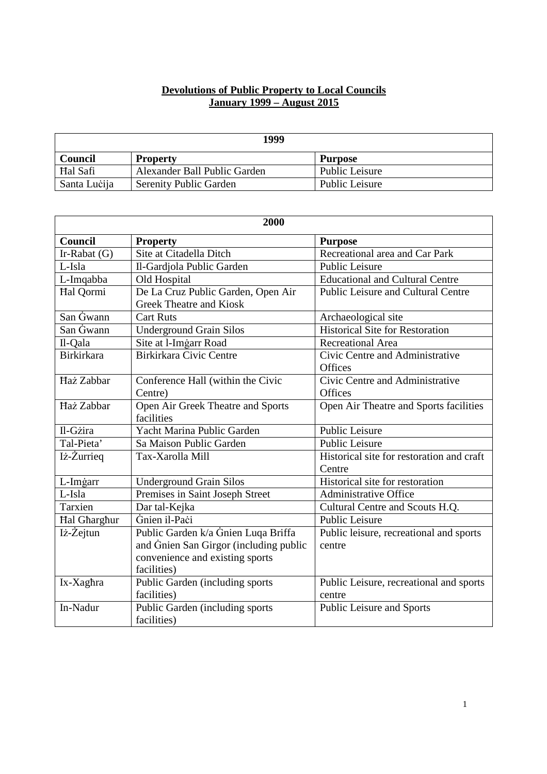## **Devolutions of Public Property to Local Councils January 1999 – August 2015**

| 1999         |                               |                |
|--------------|-------------------------------|----------------|
| Council      | <b>Property</b>               | <b>Purpose</b> |
| Hal Safi     | Alexander Ball Public Garden  | Public Leisure |
| Santa Lucija | <b>Serenity Public Garden</b> | Public Leisure |

| 2000              |                                                 |                                           |
|-------------------|-------------------------------------------------|-------------------------------------------|
| Council           | <b>Property</b>                                 | <b>Purpose</b>                            |
| Ir-Rabat $(G)$    | Site at Citadella Ditch                         | Recreational area and Car Park            |
| L-Isla            | Il-Gardjola Public Garden                       | Public Leisure                            |
| L-Imqabba         | Old Hospital                                    | <b>Educational and Cultural Centre</b>    |
| Hal Qormi         | De La Cruz Public Garden, Open Air              | Public Leisure and Cultural Centre        |
|                   | <b>Greek Theatre and Kiosk</b>                  |                                           |
| San Gwann         | <b>Cart Ruts</b>                                | Archaeological site                       |
| San Gwann         | <b>Underground Grain Silos</b>                  | <b>Historical Site for Restoration</b>    |
| Il-Qala           | Site at l-Imgarr Road                           | Recreational Area                         |
| <b>Birkirkara</b> | <b>Birkirkara Civic Centre</b>                  | Civic Centre and Administrative           |
|                   |                                                 | Offices                                   |
| Haż Zabbar        | Conference Hall (within the Civic               | Civic Centre and Administrative           |
|                   | Centre)                                         | Offices                                   |
| Haż Zabbar        | Open Air Greek Theatre and Sports<br>facilities | Open Air Theatre and Sports facilities    |
| Il-Gżira          | Yacht Marina Public Garden                      | <b>Public Leisure</b>                     |
| Tal-Pieta'        | Sa Maison Public Garden                         | <b>Public Leisure</b>                     |
| Iż-Żurrieg        | Tax-Xarolla Mill                                | Historical site for restoration and craft |
|                   |                                                 | Centre                                    |
| L-Imgarr          | <b>Underground Grain Silos</b>                  | Historical site for restoration           |
| L-Isla            | Premises in Saint Joseph Street                 | Administrative Office                     |
| Tarxien           | Dar tal-Kejka                                   | Cultural Centre and Scouts H.Q.           |
| Hal Gharghur      | Gnien il-Paci                                   | <b>Public Leisure</b>                     |
| Iż-Żejtun         | Public Garden k/a Gnien Luqa Briffa             | Public leisure, recreational and sports   |
|                   | and Gnien San Girgor (including public          | centre                                    |
|                   | convenience and existing sports                 |                                           |
|                   | facilities)                                     |                                           |
| Ix-Xaghra         | Public Garden (including sports                 | Public Leisure, recreational and sports   |
|                   | facilities)                                     | centre                                    |
| In-Nadur          | Public Garden (including sports                 | Public Leisure and Sports                 |
|                   | facilities)                                     |                                           |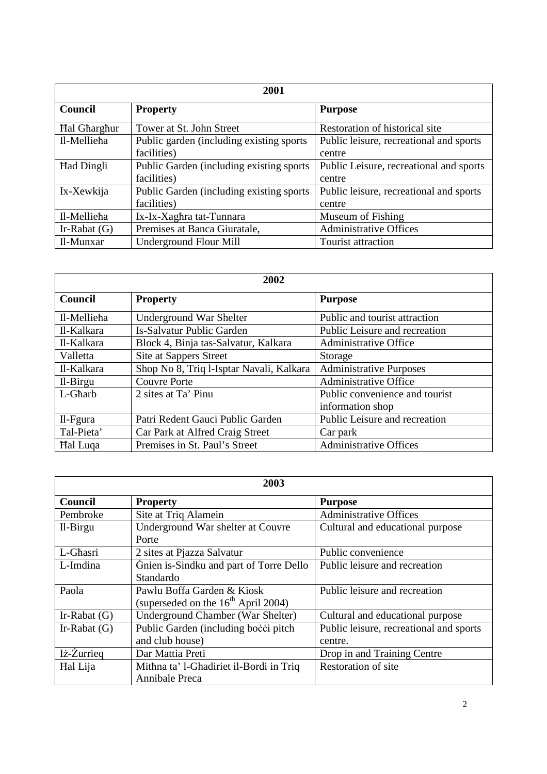| 2001                |                                           |                                         |
|---------------------|-------------------------------------------|-----------------------------------------|
| <b>Council</b>      | <b>Property</b>                           | <b>Purpose</b>                          |
| <b>Hal Gharghur</b> | Tower at St. John Street                  | Restoration of historical site          |
| Il-Mellieha         | Public garden (including existing sports) | Public leisure, recreational and sports |
|                     | facilities)                               | centre                                  |
| <b>Had Dingli</b>   | Public Garden (including existing sports) | Public Leisure, recreational and sports |
|                     | facilities)                               | centre                                  |
| Ix-Xewkija          | Public Garden (including existing sports) | Public leisure, recreational and sports |
|                     | facilities)                               | centre                                  |
| Il-Mellieha         | Ix-Ix-Xaghra tat-Tunnara                  | Museum of Fishing                       |
| Ir-Rabat $(G)$      | Premises at Banca Giuratale,              | <b>Administrative Offices</b>           |
| Il-Munxar           | <b>Underground Flour Mill</b>             | Tourist attraction                      |

| 2002            |                                          |                                |
|-----------------|------------------------------------------|--------------------------------|
| Council         | <b>Property</b>                          | <b>Purpose</b>                 |
| Il-Mellieha     | <b>Underground War Shelter</b>           | Public and tourist attraction  |
| Il-Kalkara      | <b>Is-Salvatur Public Garden</b>         | Public Leisure and recreation  |
| Il-Kalkara      | Block 4, Binja tas-Salvatur, Kalkara     | <b>Administrative Office</b>   |
| Valletta        | Site at Sappers Street                   | Storage                        |
| Il-Kalkara      | Shop No 8, Triq l-Isptar Navali, Kalkara | <b>Administrative Purposes</b> |
| $Il-Birgu$      | <b>Couvre Porte</b>                      | Administrative Office          |
| L-Gharb         | 2 sites at Ta' Pinu                      | Public convenience and tourist |
|                 |                                          | information shop               |
| $II-Fgura$      | Patri Redent Gauci Public Garden         | Public Leisure and recreation  |
| Tal-Pieta'      | Car Park at Alfred Craig Street          | Car park                       |
| <b>Hal Luga</b> | Premises in St. Paul's Street            | Administrative Offices         |

| 2003           |                                                                        |                                                    |
|----------------|------------------------------------------------------------------------|----------------------------------------------------|
| <b>Council</b> | <b>Property</b>                                                        | <b>Purpose</b>                                     |
| Pembroke       | Site at Triq Alamein                                                   | <b>Administrative Offices</b>                      |
| $II-Birgu$     | Underground War shelter at Couvre<br>Porte                             | Cultural and educational purpose                   |
| L-Ghasri       | 2 sites at Pjazza Salvatur                                             | Public convenience                                 |
| L-Imdina       | Gnien is-Sindku and part of Torre Dello<br>Standardo                   | Public leisure and recreation                      |
| Paola          | Pawlu Boffa Garden & Kiosk<br>(superseded on the $16^{th}$ April 2004) | Public leisure and recreation                      |
| Ir-Rabat $(G)$ | <b>Underground Chamber (War Shelter)</b>                               | Cultural and educational purpose                   |
| Ir-Rabat $(G)$ | Public Garden (including bocci pitch)<br>and club house)               | Public leisure, recreational and sports<br>centre. |
| Iż-Żurrieg     | Dar Mattia Preti                                                       | Drop in and Training Centre                        |
| Hal Lija       | Mithna ta' l-Ghadiriet il-Bordi in Triq<br>Annibale Preca              | Restoration of site                                |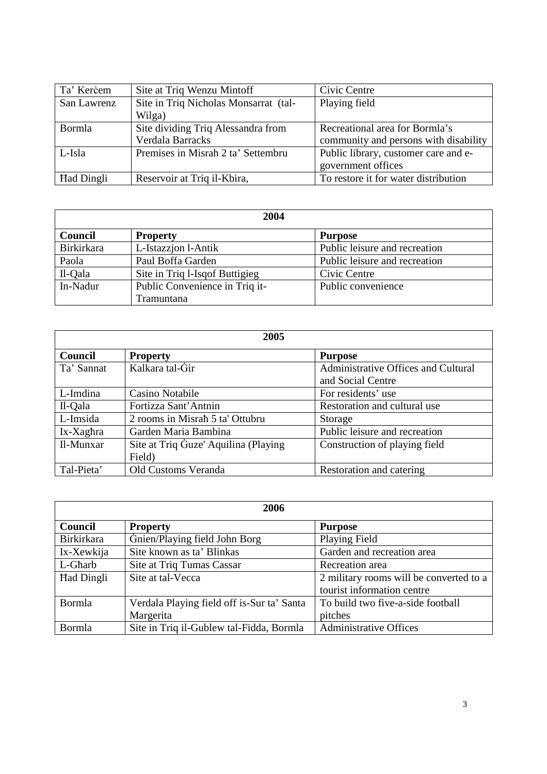| Ta' Kercem        | Site at Triq Wenzu Mintoff            | Civic Centre                          |
|-------------------|---------------------------------------|---------------------------------------|
| San Lawrenz       | Site in Triq Nicholas Monsarrat (tal- | Playing field                         |
|                   | Wilga)                                |                                       |
| Bormla            | Site dividing Triq Alessandra from    | Recreational area for Bormla's        |
|                   | Verdala Barracks                      | community and persons with disability |
| L-Isla            | Premises in Misrah 2 ta' Settembru    | Public library, customer care and e-  |
|                   |                                       | government offices                    |
| <b>Had Dingli</b> | Reservoir at Triq il-Kbira,           | To restore it for water distribution  |

| 2004       |                                 |                               |
|------------|---------------------------------|-------------------------------|
| Council    | <b>Property</b>                 | <b>Purpose</b>                |
| Birkirkara | L-Istazzion l-Antik             | Public leisure and recreation |
| Paola      | Paul Boffa Garden               | Public leisure and recreation |
| Il-Qala    | Site in Triq 1-Isq of Buttigieg | Civic Centre                  |
| In-Nadur   | Public Convenience in Triq it-  | Public convenience            |
|            | Tramuntana                      |                               |

| 2005       |                                       |                                     |
|------------|---------------------------------------|-------------------------------------|
| Council    | <b>Property</b>                       | <b>Purpose</b>                      |
| Ta' Sannat | Kalkara tal-Gir                       | Administrative Offices and Cultural |
|            |                                       | and Social Centre                   |
| L-Imdina   | Casino Notabile                       | For residents' use                  |
| Il-Qala    | Fortizza Sant'Antnin                  | Restoration and cultural use        |
| L-Imsida   | 2 rooms in Misrah 5 ta' Ottubru       | Storage                             |
| Ix-Xaghra  | Garden Maria Bambina                  | Public leisure and recreation       |
| Il-Munxar  | Site at Triq Guze' Aquilina (Playing) | Construction of playing field       |
|            | Field)                                |                                     |
| Tal-Pieta' | Old Customs Veranda                   | Restoration and catering            |

| 2006              |                                            |                                         |
|-------------------|--------------------------------------------|-----------------------------------------|
| Council           | <b>Property</b>                            | <b>Purpose</b>                          |
| <b>Birkirkara</b> | Gnien/Playing field John Borg              | Playing Field                           |
| Ix-Xewkija        | Site known as ta' Blinkas                  | Garden and recreation area              |
| L-Gharb           | Site at Triq Tumas Cassar                  | Recreation area                         |
| Had Dingli        | Site at tal-Vecca                          | 2 military rooms will be converted to a |
|                   |                                            | tourist information centre              |
| Bormla            | Verdala Playing field off is-Sur ta' Santa | To build two five-a-side football       |
|                   | Margerita                                  | pitches                                 |
| Bormla            | Site in Triq il-Gublew tal-Fidda, Bormla   | <b>Administrative Offices</b>           |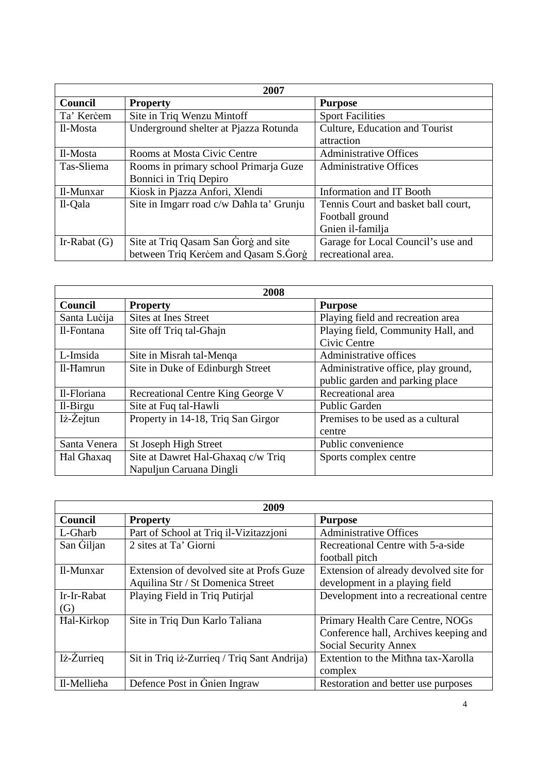| 2007           |                                          |                                     |
|----------------|------------------------------------------|-------------------------------------|
| Council        | <b>Property</b>                          | <b>Purpose</b>                      |
| Ta' Kercem     | Site in Triq Wenzu Mintoff               | <b>Sport Facilities</b>             |
| Il-Mosta       | Underground shelter at Pjazza Rotunda    | Culture, Education and Tourist      |
|                |                                          | attraction                          |
| Il-Mosta       | Rooms at Mosta Civic Centre              | <b>Administrative Offices</b>       |
| Tas-Sliema     | Rooms in primary school Primarja Guze    | <b>Administrative Offices</b>       |
|                | Bonnici in Triq Depiro                   |                                     |
| Il-Munxar      | Kiosk in Pjazza Anfori, Xlendi           | Information and IT Booth            |
| Il-Qala        | Site in Imgarr road c/w Dahla ta' Grunju | Tennis Court and basket ball court, |
|                |                                          | Football ground                     |
|                |                                          | Gnien il-familja                    |
| Ir-Rabat $(G)$ | Site at Triq Qasam San Gorg and site     | Garage for Local Council's use and  |
|                | between Triq Kercem and Qasam S.Gorg     | recreational area.                  |

| 2008         |                                          |                                     |
|--------------|------------------------------------------|-------------------------------------|
| Council      | <b>Property</b>                          | <b>Purpose</b>                      |
| Santa Lucija | <b>Sites at Ines Street</b>              | Playing field and recreation area   |
| Il-Fontana   | Site off Triq tal-Ghajn                  | Playing field, Community Hall, and  |
|              |                                          | Civic Centre                        |
| L-Imsida     | Site in Misrah tal-Menga                 | Administrative offices              |
| Il-Hamrun    | Site in Duke of Edinburgh Street         | Administrative office, play ground, |
|              |                                          | public garden and parking place     |
| Il-Floriana  | <b>Recreational Centre King George V</b> | Recreational area                   |
| Il-Birgu     | Site at Fuq tal-Hawli                    | <b>Public Garden</b>                |
| Iż-Żejtun    | Property in 14-18, Triq San Girgor       | Premises to be used as a cultural   |
|              |                                          | centre                              |
| Santa Venera | St Joseph High Street                    | Public convenience                  |
| Hal Ghaxaq   | Site at Dawret Hal-Ghaxaq c/w Triq       | Sports complex centre               |
|              | Napuljun Caruana Dingli                  |                                     |

| 2009        |                                             |                                        |
|-------------|---------------------------------------------|----------------------------------------|
| Council     | <b>Property</b>                             | <b>Purpose</b>                         |
| L-Gharb     | Part of School at Triq il-Vizitazzioni      | <b>Administrative Offices</b>          |
| San Giljan  | 2 sites at Ta' Giorni                       | Recreational Centre with 5-a-side      |
|             |                                             | football pitch                         |
| Il-Munxar   | Extension of devolved site at Profs Guze    | Extension of already devolved site for |
|             | Aquilina Str / St Domenica Street           | development in a playing field         |
| Ir-Ir-Rabat | Playing Field in Triq Putirjal              | Development into a recreational centre |
| (G)         |                                             |                                        |
| Hal-Kirkop  | Site in Triq Dun Karlo Taliana              | Primary Health Care Centre, NOGs       |
|             |                                             | Conference hall, Archives keeping and  |
|             |                                             | Social Security Annex                  |
| Iż-Żurrieg  | Sit in Triq iz-Zurrieg / Triq Sant Andrija) | Extention to the Mithna tax-Xarolla    |
|             |                                             | complex                                |
| Il-Mellieha | Defence Post in Gnien Ingraw                | Restoration and better use purposes    |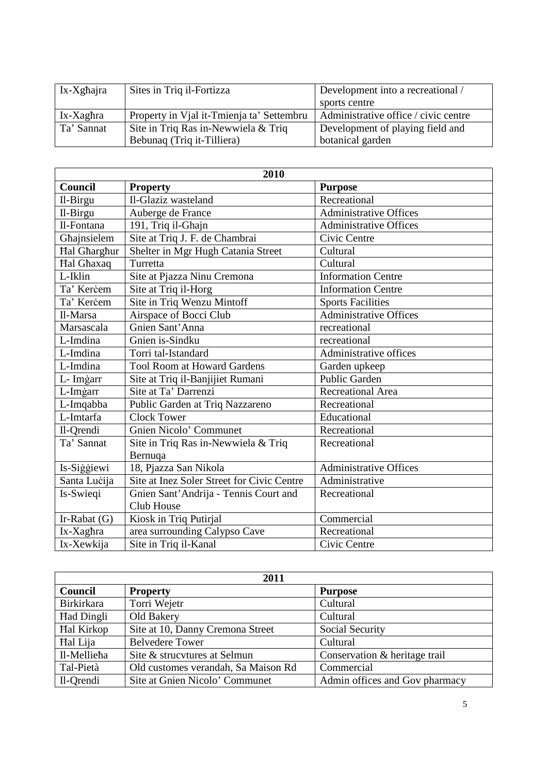| Ix-Xghajra | Sites in Triq il-Fortizza                 | Development into a recreational /    |
|------------|-------------------------------------------|--------------------------------------|
|            |                                           | sports centre                        |
| Ix-Xaghra  | Property in Vial it-Tmienja ta' Settembru | Administrative office / civic centre |
| Ta' Sannat | Site in Triq Ras in-Newwiela & Triq       | Development of playing field and     |
|            | Bebunaq (Triq it-Tilliera)                | botanical garden                     |

| 2010                |                                            |                               |
|---------------------|--------------------------------------------|-------------------------------|
| <b>Council</b>      | <b>Property</b>                            | <b>Purpose</b>                |
| Il-Birgu            | Il-Glaziz wasteland                        | Recreational                  |
| Il-Birgu            | Auberge de France                          | <b>Administrative Offices</b> |
| Il-Fontana          | 191, Triq il-Ghajn                         | <b>Administrative Offices</b> |
| Ghajnsielem         | Site at Triq J. F. de Chambrai             | Civic Centre                  |
| <b>Hal Gharghur</b> | Shelter in Mgr Hugh Catania Street         | Cultural                      |
| Hal Ghaxaq          | Turretta                                   | Cultural                      |
| L-Iklin             | Site at Pjazza Ninu Cremona                | <b>Information Centre</b>     |
| Ta' Kercem          | Site at Triq il-Horg                       | <b>Information Centre</b>     |
| Ta' Kercem          | Site in Triq Wenzu Mintoff                 | <b>Sports Facilities</b>      |
| Il-Marsa            | Airspace of Bocci Club                     | Administrative Offices        |
| Marsascala          | Gnien Sant' Anna                           | recreational                  |
| L-Imdina            | Gnien is-Sindku                            | recreational                  |
| L-Imdina            | Torri tal-Istandard                        | Administrative offices        |
| L-Imdina            | <b>Tool Room at Howard Gardens</b>         | Garden upkeep                 |
| L- Imgarr           | Site at Triq il-Banjijiet Rumani           | <b>Public Garden</b>          |
| L-Imgarr            | Site at Ta' Darrenzi                       | <b>Recreational Area</b>      |
| L-Imqabba           | Public Garden at Triq Nazzareno            | Recreational                  |
| L-Imtarfa           | <b>Clock Tower</b>                         | Educational                   |
| Il-Qrendi           | Gnien Nicolo' Communet                     | Recreational                  |
| Ta' Sannat          | Site in Triq Ras in-Newwiela & Triq        | Recreational                  |
|                     | Bernuqa                                    |                               |
| Is-Siggiewi         | 18, Pjazza San Nikola                      | <b>Administrative Offices</b> |
| Santa Lucija        | Site at Inez Soler Street for Civic Centre | Administrative                |
| Is-Swieqi           | Gnien Sant' Andrija - Tennis Court and     | Recreational                  |
|                     | Club House                                 |                               |
| Ir-Rabat $(G)$      | Kiosk in Triq Putirjal                     | Commercial                    |
| Ix-Xaghra           | area surrounding Calypso Cave              | Recreational                  |
| Ix-Xewkija          | Site in Triq il-Kanal                      | Civic Centre                  |

| 2011              |                                     |                                |
|-------------------|-------------------------------------|--------------------------------|
| Council           | <b>Property</b>                     | <b>Purpose</b>                 |
| Birkirkara        | Torri Wejetr                        | Cultural                       |
| <b>Had Dingli</b> | Old Bakery                          | Cultural                       |
| Hal Kirkop        | Site at 10, Danny Cremona Street    | Social Security                |
| Hal Lija          | <b>Belvedere Tower</b>              | Cultural                       |
| Il-Mellieha       | Site & strucytures at Selmun        | Conservation & heritage trail  |
| Tal-Pietà         | Old customes verandah, Sa Maison Rd | Commercial                     |
| Il-Qrendi         | Site at Gnien Nicolo' Communet      | Admin offices and Gov pharmacy |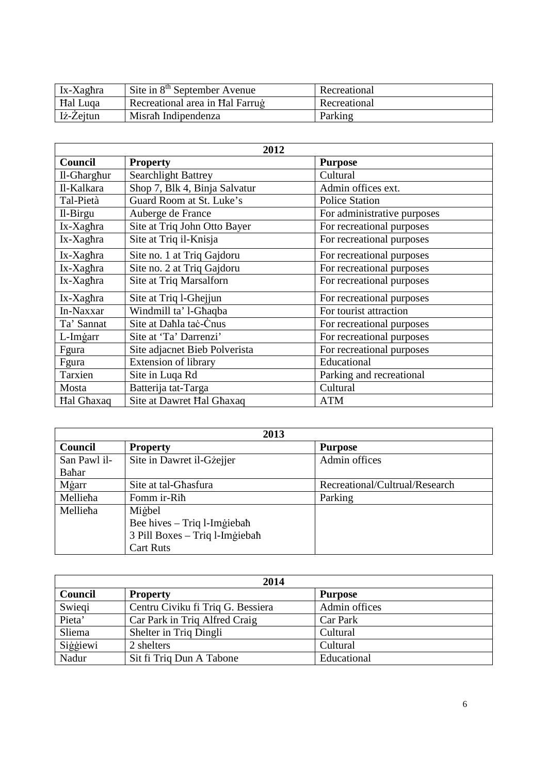| Ix-Xaghra       | Site in $8th$ September Avenue  | Recreational |
|-----------------|---------------------------------|--------------|
| <b>Hal Luga</b> | Recreational area in Hal Farrug | Recreational |
| Iż-Zejtun       | Misrah Indipendenza             | Parking      |

| 2012        |                               |                             |
|-------------|-------------------------------|-----------------------------|
| Council     | <b>Property</b>               | <b>Purpose</b>              |
| Il-Gharghur | <b>Searchlight Battrey</b>    | Cultural                    |
| Il-Kalkara  | Shop 7, Blk 4, Binja Salvatur | Admin offices ext.          |
| Tal-Pietà   | Guard Room at St. Luke's      | <b>Police Station</b>       |
| Il-Birgu    | Auberge de France             | For administrative purposes |
| Ix-Xaghra   | Site at Triq John Otto Bayer  | For recreational purposes   |
| Ix-Xaghra   | Site at Triq il-Knisja        | For recreational purposes   |
| Ix-Xaghra   | Site no. 1 at Triq Gajdoru    | For recreational purposes   |
| Ix-Xaghra   | Site no. 2 at Triq Gajdoru    | For recreational purposes   |
| Ix-Xaghra   | Site at Triq Marsalforn       | For recreational purposes   |
| Ix-Xaghra   | Site at Triq 1-Ghejjun        | For recreational purposes   |
| In-Naxxar   | Windmill ta' l-Ghaqba         | For tourist attraction      |
| Ta' Sannat  | Site at Dahla tac-Cnus        | For recreational purposes   |
| L-Imgarr    | Site at 'Ta' Darrenzi'        | For recreational purposes   |
| Fgura       | Site adjacnet Bieb Polverista | For recreational purposes   |
| Fgura       | Extension of library          | Educational                 |
| Tarxien     | Site in Luqa Rd               | Parking and recreational    |
| Mosta       | Batterija tat-Targa           | Cultural                    |
| Hal Ghaxaq  | Site at Dawret Hal Ghaxaq     | <b>ATM</b>                  |

| 2013           |                                |                                |
|----------------|--------------------------------|--------------------------------|
| <b>Council</b> | <b>Property</b>                | <b>Purpose</b>                 |
| San Pawl il-   | Site in Dawret il-Gzejjer      | Admin offices                  |
| Bahar          |                                |                                |
| Mġarr          | Site at tal-Ghasfura           | Recreational/Cultrual/Research |
| Mellieha       | Fomm ir-Rih                    | Parking                        |
| Mellieha       | Migbel                         |                                |
|                | Bee hives – Triq l-Imgiebah    |                                |
|                | 3 Pill Boxes - Triq l-Imgiebah |                                |
|                | <b>Cart Ruts</b>               |                                |

| 2014           |                                   |                |
|----------------|-----------------------------------|----------------|
| <b>Council</b> | <b>Property</b>                   | <b>Purpose</b> |
| Swiegi         | Centru Civiku fi Triq G. Bessiera | Admin offices  |
| Pieta'         | Car Park in Triq Alfred Craig     | Car Park       |
| Sliema         | Shelter in Triq Dingli            | Cultural       |
| Siggiewi       | 2 shelters                        | Cultural       |
| Nadur          | Sit fi Triq Dun A Tabone          | Educational    |